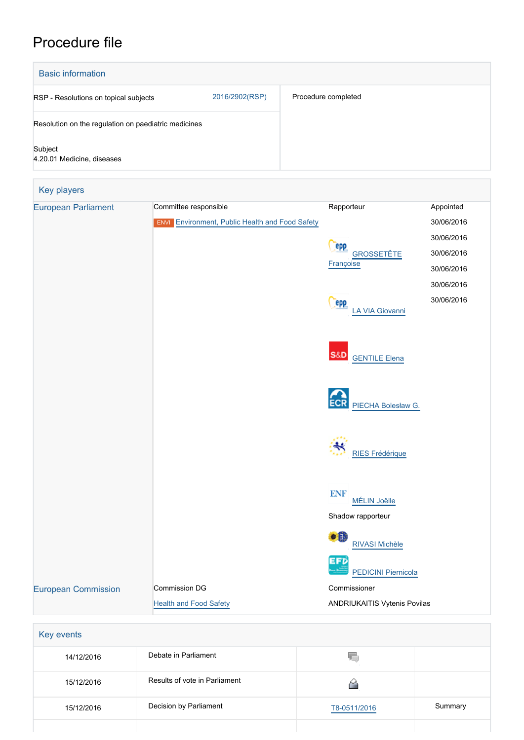## Procedure file

| <b>Basic information</b>                             |                |                     |  |  |
|------------------------------------------------------|----------------|---------------------|--|--|
| RSP - Resolutions on topical subjects                | 2016/2902(RSP) | Procedure completed |  |  |
| Resolution on the regulation on paediatric medicines |                |                     |  |  |
| Subject<br>4.20.01 Medicine, diseases                |                |                     |  |  |

| Key players<br><b>European Parliament</b> | Committee responsible                                  | Rapporteur                                             | Appointed  |
|-------------------------------------------|--------------------------------------------------------|--------------------------------------------------------|------------|
|                                           | <b>ENVI</b> Environment, Public Health and Food Safety |                                                        | 30/06/2016 |
|                                           |                                                        |                                                        | 30/06/2016 |
|                                           |                                                        | <b>epp</b>                                             |            |
|                                           |                                                        | GROSSETÊTE<br>Françoise                                | 30/06/2016 |
|                                           |                                                        |                                                        | 30/06/2016 |
|                                           |                                                        |                                                        | 30/06/2016 |
|                                           |                                                        | epp<br>LA VIA Giovanni                                 | 30/06/2016 |
|                                           |                                                        | <b>S&amp;D</b><br><b>GENTILE Elena</b>                 |            |
|                                           |                                                        | <b>ECR</b><br>PIECHA Bolesław G.                       |            |
|                                           |                                                        | <b>RIES Frédérique</b>                                 |            |
|                                           |                                                        | <b>ENF</b><br><b>MÉLIN Joëlle</b><br>Shadow rapporteur |            |
|                                           |                                                        |                                                        |            |
|                                           |                                                        | $\bullet$<br><b>RIVASI Michèle</b>                     |            |
|                                           |                                                        | EFØ                                                    |            |
|                                           |                                                        | ليو.<br><b>PEDICINI Piernicola</b>                     |            |
| <b>European Commission</b>                | Commission DG                                          | Commissioner                                           |            |
|                                           | <b>Health and Food Safety</b>                          | ANDRIUKAITIS Vytenis Povilas                           |            |

| 14/12/2016 | Debate in Parliament          | YГ           |         |
|------------|-------------------------------|--------------|---------|
| 15/12/2016 | Results of vote in Parliament |              |         |
| 15/12/2016 | Decision by Parliament        | T8-0511/2016 | Summary |
|            |                               |              |         |